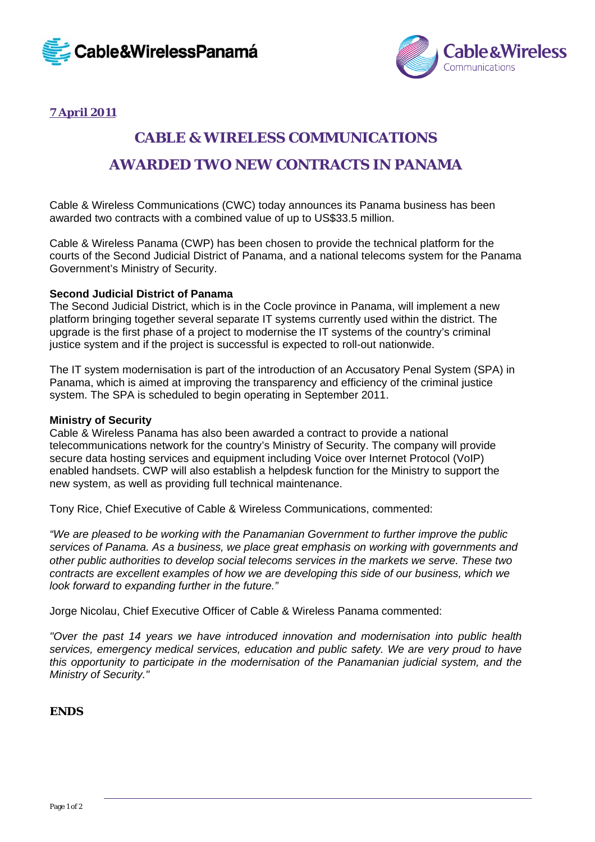



# **7 April 2011**

# **CABLE & WIRELESS COMMUNICATIONS**

# **AWARDED TWO NEW CONTRACTS IN PANAMA**

Cable & Wireless Communications (CWC) today announces its Panama business has been awarded two contracts with a combined value of up to US\$33.5 million.

Cable & Wireless Panama (CWP) has been chosen to provide the technical platform for the courts of the Second Judicial District of Panama, and a national telecoms system for the Panama Government's Ministry of Security.

#### **Second Judicial District of Panama**

The Second Judicial District, which is in the Cocle province in Panama, will implement a new platform bringing together several separate IT systems currently used within the district. The upgrade is the first phase of a project to modernise the IT systems of the country's criminal justice system and if the project is successful is expected to roll-out nationwide.

The IT system modernisation is part of the introduction of an Accusatory Penal System (SPA) in Panama, which is aimed at improving the transparency and efficiency of the criminal justice system. The SPA is scheduled to begin operating in September 2011.

#### **Ministry of Security**

Cable & Wireless Panama has also been awarded a contract to provide a national telecommunications network for the country's Ministry of Security. The company will provide secure data hosting services and equipment including Voice over Internet Protocol (VoIP) enabled handsets. CWP will also establish a helpdesk function for the Ministry to support the new system, as well as providing full technical maintenance.

Tony Rice, Chief Executive of Cable & Wireless Communications, commented:

*"We are pleased to be working with the Panamanian Government to further improve the public services of Panama. As a business, we place great emphasis on working with governments and other public authorities to develop social telecoms services in the markets we serve. These two contracts are excellent examples of how we are developing this side of our business, which we look forward to expanding further in the future."*

Jorge Nicolau, Chief Executive Officer of Cable & Wireless Panama commented:

*"Over the past 14 years we have introduced innovation and modernisation into public health services, emergency medical services, education and public safety. We are very proud to have this opportunity to participate in the modernisation of the Panamanian judicial system, and the Ministry of Security."* 

#### **ENDS**